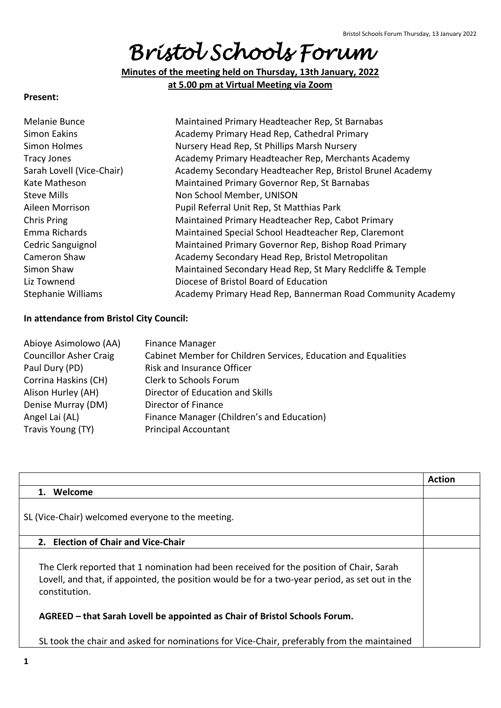# *Bristol Schools Forum*

**Minutes of the meeting held on Thursday, 13th January, 2022 at 5.00 pm at Virtual Meeting via Zoom**

#### **Present:**

| Melanie Bunce             | Maintained Primary Headteacher Rep, St Barnabas            |
|---------------------------|------------------------------------------------------------|
| Simon Eakins              | Academy Primary Head Rep, Cathedral Primary                |
| Simon Holmes              | Nursery Head Rep, St Phillips Marsh Nursery                |
| <b>Tracy Jones</b>        | Academy Primary Headteacher Rep, Merchants Academy         |
| Sarah Lovell (Vice-Chair) | Academy Secondary Headteacher Rep, Bristol Brunel Academy  |
| Kate Matheson             | Maintained Primary Governor Rep, St Barnabas               |
| Steve Mills               | Non School Member, UNISON                                  |
| Aileen Morrison           | Pupil Referral Unit Rep, St Matthias Park                  |
| Chris Pring               | Maintained Primary Headteacher Rep, Cabot Primary          |
| Emma Richards             | Maintained Special School Headteacher Rep, Claremont       |
| Cedric Sanguignol         | Maintained Primary Governor Rep, Bishop Road Primary       |
| Cameron Shaw              | Academy Secondary Head Rep, Bristol Metropolitan           |
| Simon Shaw                | Maintained Secondary Head Rep, St Mary Redcliffe & Temple  |
| Liz Townend               | Diocese of Bristol Board of Education                      |
| <b>Stephanie Williams</b> | Academy Primary Head Rep, Bannerman Road Community Academy |

#### **In attendance from Bristol City Council:**

| Abioye Asimolowo (AA)         | <b>Finance Manager</b>                                         |
|-------------------------------|----------------------------------------------------------------|
| <b>Councillor Asher Craig</b> | Cabinet Member for Children Services, Education and Equalities |
| Paul Dury (PD)                | <b>Risk and Insurance Officer</b>                              |
| Corrina Haskins (CH)          | Clerk to Schools Forum                                         |
| Alison Hurley (AH)            | Director of Education and Skills                               |
| Denise Murray (DM)            | Director of Finance                                            |
| Angel Lai (AL)                | Finance Manager (Children's and Education)                     |
| Travis Young (TY)             | <b>Principal Accountant</b>                                    |

|                                                                                                                                                                                                            | <b>Action</b> |
|------------------------------------------------------------------------------------------------------------------------------------------------------------------------------------------------------------|---------------|
| Welcome<br>$\mathbf 1$ .                                                                                                                                                                                   |               |
| SL (Vice-Chair) welcomed everyone to the meeting.                                                                                                                                                          |               |
| 2. Election of Chair and Vice-Chair                                                                                                                                                                        |               |
| The Clerk reported that 1 nomination had been received for the position of Chair, Sarah<br>Lovell, and that, if appointed, the position would be for a two-year period, as set out in the<br>constitution. |               |
| AGREED - that Sarah Lovell be appointed as Chair of Bristol Schools Forum.                                                                                                                                 |               |
| SL took the chair and asked for nominations for Vice-Chair, preferably from the maintained                                                                                                                 |               |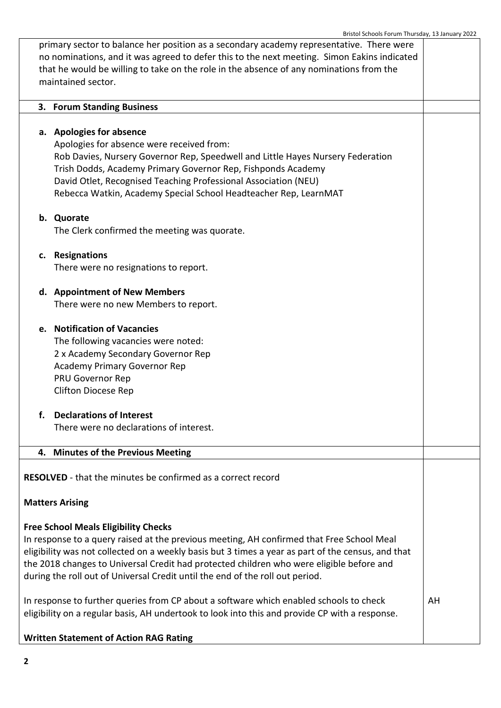|                                                                                                                                                                                                                                                                                                                                                                                                                             | Bristoi Scribois i Orum Thursuay, 13 January 2022                                                                                                                                                                                                                                                                                                               |    |
|-----------------------------------------------------------------------------------------------------------------------------------------------------------------------------------------------------------------------------------------------------------------------------------------------------------------------------------------------------------------------------------------------------------------------------|-----------------------------------------------------------------------------------------------------------------------------------------------------------------------------------------------------------------------------------------------------------------------------------------------------------------------------------------------------------------|----|
| primary sector to balance her position as a secondary academy representative. There were<br>no nominations, and it was agreed to defer this to the next meeting. Simon Eakins indicated<br>that he would be willing to take on the role in the absence of any nominations from the<br>maintained sector.                                                                                                                    |                                                                                                                                                                                                                                                                                                                                                                 |    |
|                                                                                                                                                                                                                                                                                                                                                                                                                             | 3. Forum Standing Business                                                                                                                                                                                                                                                                                                                                      |    |
|                                                                                                                                                                                                                                                                                                                                                                                                                             | a. Apologies for absence<br>Apologies for absence were received from:<br>Rob Davies, Nursery Governor Rep, Speedwell and Little Hayes Nursery Federation<br>Trish Dodds, Academy Primary Governor Rep, Fishponds Academy<br>David Otlet, Recognised Teaching Professional Association (NEU)<br>Rebecca Watkin, Academy Special School Headteacher Rep, LearnMAT |    |
|                                                                                                                                                                                                                                                                                                                                                                                                                             | b. Quorate<br>The Clerk confirmed the meeting was quorate.                                                                                                                                                                                                                                                                                                      |    |
|                                                                                                                                                                                                                                                                                                                                                                                                                             | c. Resignations<br>There were no resignations to report.                                                                                                                                                                                                                                                                                                        |    |
|                                                                                                                                                                                                                                                                                                                                                                                                                             | d. Appointment of New Members<br>There were no new Members to report.                                                                                                                                                                                                                                                                                           |    |
|                                                                                                                                                                                                                                                                                                                                                                                                                             | e. Notification of Vacancies<br>The following vacancies were noted:<br>2 x Academy Secondary Governor Rep<br><b>Academy Primary Governor Rep</b><br>PRU Governor Rep<br><b>Clifton Diocese Rep</b>                                                                                                                                                              |    |
|                                                                                                                                                                                                                                                                                                                                                                                                                             | <b>Declarations of Interest</b><br>There were no declarations of interest.                                                                                                                                                                                                                                                                                      |    |
|                                                                                                                                                                                                                                                                                                                                                                                                                             | 4. Minutes of the Previous Meeting                                                                                                                                                                                                                                                                                                                              |    |
|                                                                                                                                                                                                                                                                                                                                                                                                                             | <b>RESOLVED</b> - that the minutes be confirmed as a correct record<br><b>Matters Arising</b>                                                                                                                                                                                                                                                                   |    |
| <b>Free School Meals Eligibility Checks</b><br>In response to a query raised at the previous meeting, AH confirmed that Free School Meal<br>eligibility was not collected on a weekly basis but 3 times a year as part of the census, and that<br>the 2018 changes to Universal Credit had protected children who were eligible before and<br>during the roll out of Universal Credit until the end of the roll out period. |                                                                                                                                                                                                                                                                                                                                                                 |    |
| In response to further queries from CP about a software which enabled schools to check<br>eligibility on a regular basis, AH undertook to look into this and provide CP with a response.                                                                                                                                                                                                                                    |                                                                                                                                                                                                                                                                                                                                                                 | AH |
|                                                                                                                                                                                                                                                                                                                                                                                                                             |                                                                                                                                                                                                                                                                                                                                                                 |    |

**Written Statement of Action RAG Rating**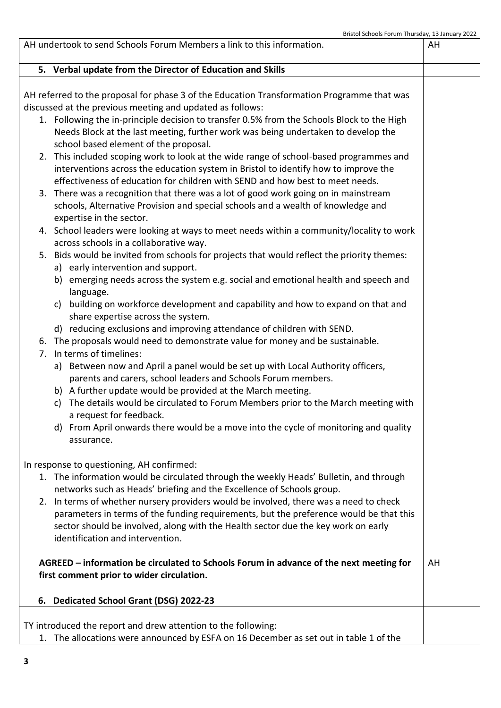|  | 5. Verbal update from the Director of Education and Skills                                 |    |
|--|--------------------------------------------------------------------------------------------|----|
|  |                                                                                            |    |
|  | AH referred to the proposal for phase 3 of the Education Transformation Programme that was |    |
|  | discussed at the previous meeting and updated as follows:                                  |    |
|  | 1. Following the in-principle decision to transfer 0.5% from the Schools Block to the High |    |
|  | Needs Block at the last meeting, further work was being undertaken to develop the          |    |
|  | school based element of the proposal.                                                      |    |
|  | 2. This included scoping work to look at the wide range of school-based programmes and     |    |
|  | interventions across the education system in Bristol to identify how to improve the        |    |
|  | effectiveness of education for children with SEND and how best to meet needs.              |    |
|  | 3. There was a recognition that there was a lot of good work going on in mainstream        |    |
|  | schools, Alternative Provision and special schools and a wealth of knowledge and           |    |
|  | expertise in the sector.                                                                   |    |
|  | 4. School leaders were looking at ways to meet needs within a community/locality to work   |    |
|  | across schools in a collaborative way.                                                     |    |
|  | 5. Bids would be invited from schools for projects that would reflect the priority themes: |    |
|  | a) early intervention and support.                                                         |    |
|  | b) emerging needs across the system e.g. social and emotional health and speech and        |    |
|  | language.                                                                                  |    |
|  | building on workforce development and capability and how to expand on that and<br>C)       |    |
|  | share expertise across the system.                                                         |    |
|  | d) reducing exclusions and improving attendance of children with SEND.                     |    |
|  | 6. The proposals would need to demonstrate value for money and be sustainable.             |    |
|  | 7. In terms of timelines:                                                                  |    |
|  | a) Between now and April a panel would be set up with Local Authority officers,            |    |
|  | parents and carers, school leaders and Schools Forum members.                              |    |
|  | b) A further update would be provided at the March meeting.                                |    |
|  | c) The details would be circulated to Forum Members prior to the March meeting with        |    |
|  | a request for feedback.                                                                    |    |
|  | d) From April onwards there would be a move into the cycle of monitoring and quality       |    |
|  | assurance.                                                                                 |    |
|  |                                                                                            |    |
|  | In response to questioning, AH confirmed:                                                  |    |
|  | 1. The information would be circulated through the weekly Heads' Bulletin, and through     |    |
|  | networks such as Heads' briefing and the Excellence of Schools group.                      |    |
|  | 2. In terms of whether nursery providers would be involved, there was a need to check      |    |
|  | parameters in terms of the funding requirements, but the preference would be that this     |    |
|  | sector should be involved, along with the Health sector due the key work on early          |    |
|  | identification and intervention.                                                           |    |
|  |                                                                                            |    |
|  | AGREED - information be circulated to Schools Forum in advance of the next meeting for     | AH |
|  | first comment prior to wider circulation.                                                  |    |
|  |                                                                                            |    |
|  | 6. Dedicated School Grant (DSG) 2022-23                                                    |    |
|  |                                                                                            |    |
|  | TY introduced the report and drew attention to the following:                              |    |
|  | 1. The allocations were announced by ESFA on 16 December as set out in table 1 of the      |    |

AH undertook to send Schools Forum Members a link to this information.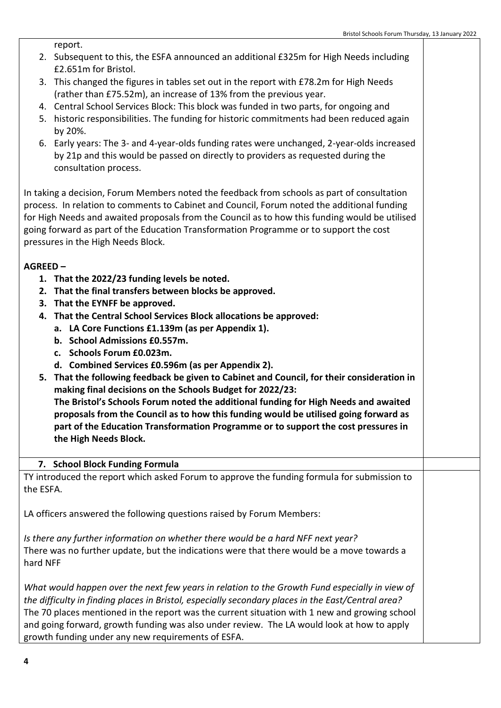report.

- 2. Subsequent to this, the ESFA announced an additional £325m for High Needs including £2.651m for Bristol.
- 3. This changed the figures in tables set out in the report with £78.2m for High Needs (rather than £75.52m), an increase of 13% from the previous year.
- 4. Central School Services Block: This block was funded in two parts, for ongoing and
- 5. historic responsibilities. The funding for historic commitments had been reduced again by 20%.
- 6. Early years: The 3- and 4-year-olds funding rates were unchanged, 2-year-olds increased by 21p and this would be passed on directly to providers as requested during the consultation process.

In taking a decision, Forum Members noted the feedback from schools as part of consultation process. In relation to comments to Cabinet and Council, Forum noted the additional funding for High Needs and awaited proposals from the Council as to how this funding would be utilised going forward as part of the Education Transformation Programme or to support the cost pressures in the High Needs Block.

## **AGREED –**

- **1. That the 2022/23 funding levels be noted.**
- **2. That the final transfers between blocks be approved.**
- **3. That the EYNFF be approved.**
- **4. That the Central School Services Block allocations be approved:**
	- **a. LA Core Functions £1.139m (as per Appendix 1).**
	- **b. School Admissions £0.557m.**
	- **c. Schools Forum £0.023m.**
	- **d. Combined Services £0.596m (as per Appendix 2).**
- **5. That the following feedback be given to Cabinet and Council, for their consideration in making final decisions on the Schools Budget for 2022/23: The Bristol's Schools Forum noted the additional funding for High Needs and awaited proposals from the Council as to how this funding would be utilised going forward as part of the Education Transformation Programme or to support the cost pressures in the High Needs Block.**

## **7. School Block Funding Formula**

TY introduced the report which asked Forum to approve the funding formula for submission to the ESFA.

LA officers answered the following questions raised by Forum Members:

*Is there any further information on whether there would be a hard NFF next year?* There was no further update, but the indications were that there would be a move towards a hard NFF

*What would happen over the next few years in relation to the Growth Fund especially in view of the difficulty in finding places in Bristol, especially secondary places in the East/Central area?* The 70 places mentioned in the report was the current situation with 1 new and growing school and going forward, growth funding was also under review. The LA would look at how to apply growth funding under any new requirements of ESFA.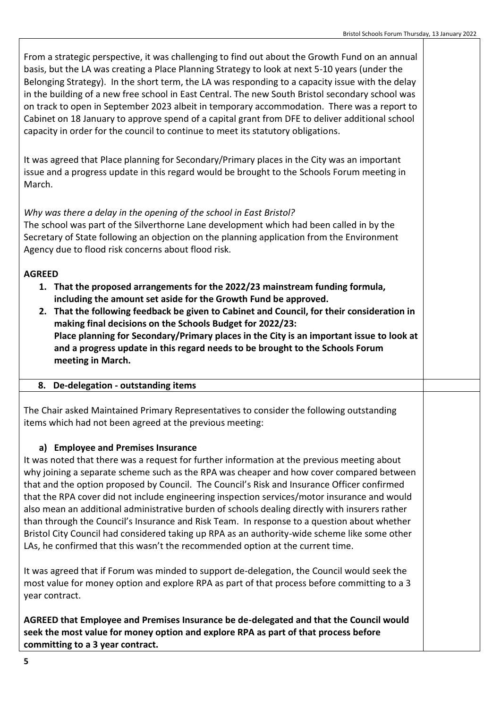From a strategic perspective, it was challenging to find out about the Growth Fund on an annual basis, but the LA was creating a Place Planning Strategy to look at next 5-10 years (under the Belonging Strategy). In the short term, the LA was responding to a capacity issue with the delay in the building of a new free school in East Central. The new South Bristol secondary school was on track to open in September 2023 albeit in temporary accommodation. There was a report to Cabinet on 18 January to approve spend of a capital grant from DFE to deliver additional school capacity in order for the council to continue to meet its statutory obligations.

It was agreed that Place planning for Secondary/Primary places in the City was an important issue and a progress update in this regard would be brought to the Schools Forum meeting in March.

# *Why was there a delay in the opening of the school in East Bristol?*

The school was part of the Silverthorne Lane development which had been called in by the Secretary of State following an objection on the planning application from the Environment Agency due to flood risk concerns about flood risk.

## **AGREED**

- **1. That the proposed arrangements for the 2022/23 mainstream funding formula, including the amount set aside for the Growth Fund be approved.**
- **2. That the following feedback be given to Cabinet and Council, for their consideration in making final decisions on the Schools Budget for 2022/23: Place planning for Secondary/Primary places in the City is an important issue to look at and a progress update in this regard needs to be brought to the Schools Forum meeting in March.**

## **8. De-delegation - outstanding items**

The Chair asked Maintained Primary Representatives to consider the following outstanding items which had not been agreed at the previous meeting:

## **a) Employee and Premises Insurance**

It was noted that there was a request for further information at the previous meeting about why joining a separate scheme such as the RPA was cheaper and how cover compared between that and the option proposed by Council. The Council's Risk and Insurance Officer confirmed that the RPA cover did not include engineering inspection services/motor insurance and would also mean an additional administrative burden of schools dealing directly with insurers rather than through the Council's Insurance and Risk Team. In response to a question about whether Bristol City Council had considered taking up RPA as an authority-wide scheme like some other LAs, he confirmed that this wasn't the recommended option at the current time.

It was agreed that if Forum was minded to support de-delegation, the Council would seek the most value for money option and explore RPA as part of that process before committing to a 3 year contract.

**AGREED that Employee and Premises Insurance be de-delegated and that the Council would seek the most value for money option and explore RPA as part of that process before committing to a 3 year contract.**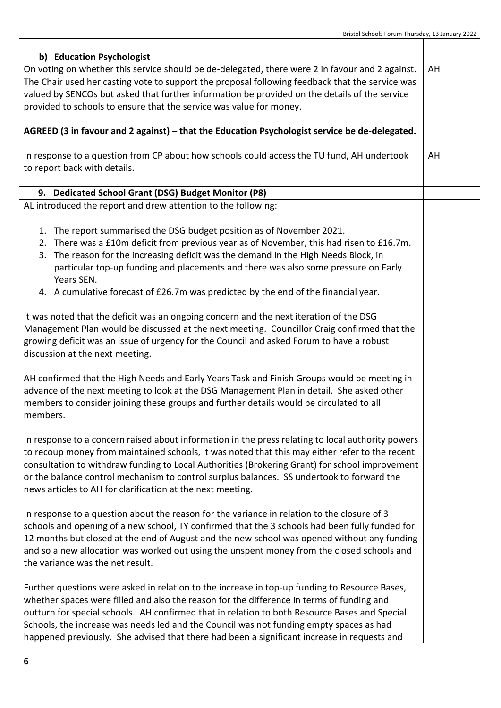| b) Education Psychologist<br>On voting on whether this service should be de-delegated, there were 2 in favour and 2 against.<br>The Chair used her casting vote to support the proposal following feedback that the service was<br>valued by SENCOs but asked that further information be provided on the details of the service<br>provided to schools to ensure that the service was value for money.<br>AGREED (3 in favour and 2 against) - that the Education Psychologist service be de-delegated.<br>In response to a question from CP about how schools could access the TU fund, AH undertook |  |
|--------------------------------------------------------------------------------------------------------------------------------------------------------------------------------------------------------------------------------------------------------------------------------------------------------------------------------------------------------------------------------------------------------------------------------------------------------------------------------------------------------------------------------------------------------------------------------------------------------|--|
| to report back with details.                                                                                                                                                                                                                                                                                                                                                                                                                                                                                                                                                                           |  |
| 9. Dedicated School Grant (DSG) Budget Monitor (P8)                                                                                                                                                                                                                                                                                                                                                                                                                                                                                                                                                    |  |
| AL introduced the report and drew attention to the following:                                                                                                                                                                                                                                                                                                                                                                                                                                                                                                                                          |  |
| 1. The report summarised the DSG budget position as of November 2021.<br>2. There was a £10m deficit from previous year as of November, this had risen to £16.7m.<br>3. The reason for the increasing deficit was the demand in the High Needs Block, in<br>particular top-up funding and placements and there was also some pressure on Early<br>Years SEN.<br>4. A cumulative forecast of £26.7m was predicted by the end of the financial year.                                                                                                                                                     |  |
| It was noted that the deficit was an ongoing concern and the next iteration of the DSG<br>Management Plan would be discussed at the next meeting. Councillor Craig confirmed that the<br>growing deficit was an issue of urgency for the Council and asked Forum to have a robust<br>discussion at the next meeting.                                                                                                                                                                                                                                                                                   |  |
| AH confirmed that the High Needs and Early Years Task and Finish Groups would be meeting in<br>advance of the next meeting to look at the DSG Management Plan in detail. She asked other<br>members to consider joining these groups and further details would be circulated to all<br>members.                                                                                                                                                                                                                                                                                                        |  |
| In response to a concern raised about information in the press relating to local authority powers<br>to recoup money from maintained schools, it was noted that this may either refer to the recent<br>consultation to withdraw funding to Local Authorities (Brokering Grant) for school improvement<br>or the balance control mechanism to control surplus balances. SS undertook to forward the<br>news articles to AH for clarification at the next meeting.                                                                                                                                       |  |
| In response to a question about the reason for the variance in relation to the closure of 3<br>schools and opening of a new school, TY confirmed that the 3 schools had been fully funded for<br>12 months but closed at the end of August and the new school was opened without any funding<br>and so a new allocation was worked out using the unspent money from the closed schools and<br>the variance was the net result.                                                                                                                                                                         |  |
| Further questions were asked in relation to the increase in top-up funding to Resource Bases,<br>whether spaces were filled and also the reason for the difference in terms of funding and<br>outturn for special schools. AH confirmed that in relation to both Resource Bases and Special<br>Schools, the increase was needs led and the Council was not funding empty spaces as had<br>happened previously. She advised that there had been a significant increase in requests and                                                                                                                  |  |